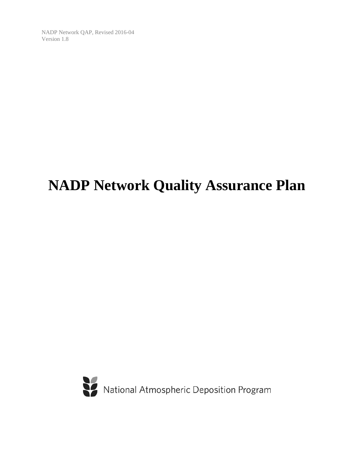# **NADP Network Quality Assurance Plan**

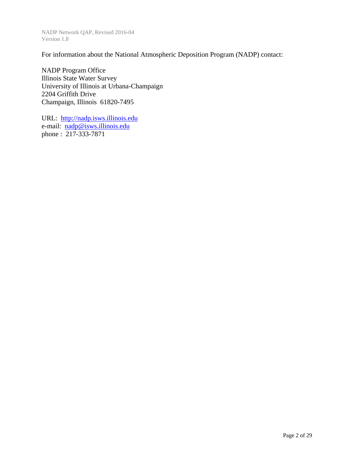For information about the National Atmospheric Deposition Program (NADP) contact:

NADP Program Office Illinois State Water Survey University of Illinois at Urbana-Champaign 2204 Griffith Drive Champaign, Illinois 61820-7495

URL: http://nadp.isws.illinois.edu e-mail: nadp@isws.illinois.edu phone : 217-333-7871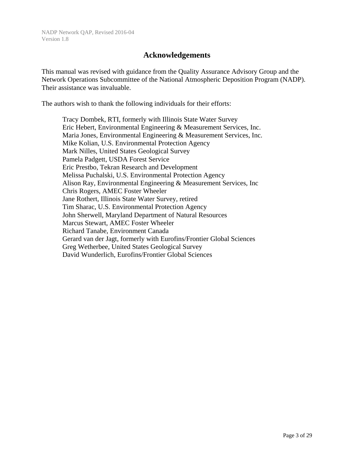#### **Acknowledgements**

This manual was revised with guidance from the Quality Assurance Advisory Group and the Network Operations Subcommittee of the National Atmospheric Deposition Program (NADP). Their assistance was invaluable.

The authors wish to thank the following individuals for their efforts:

 Tracy Dombek, RTI, formerly with Illinois State Water Survey Eric Hebert, Environmental Engineering & Measurement Services, Inc. Maria Jones, Environmental Engineering & Measurement Services, Inc. Mike Kolian, U.S. Environmental Protection Agency Mark Nilles, United States Geological Survey Pamela Padgett, USDA Forest Service Eric Prestbo, Tekran Research and Development Melissa Puchalski, U.S. Environmental Protection Agency Alison Ray, Environmental Engineering & Measurement Services, Inc Chris Rogers, AMEC Foster Wheeler Jane Rothert, Illinois State Water Survey, retired Tim Sharac, U.S. Environmental Protection Agency John Sherwell, Maryland Department of Natural Resources Marcus Stewart, AMEC Foster Wheeler Richard Tanabe, Environment Canada Gerard van der Jagt, formerly with Eurofins/Frontier Global Sciences Greg Wetherbee, United States Geological Survey David Wunderlich, Eurofins/Frontier Global Sciences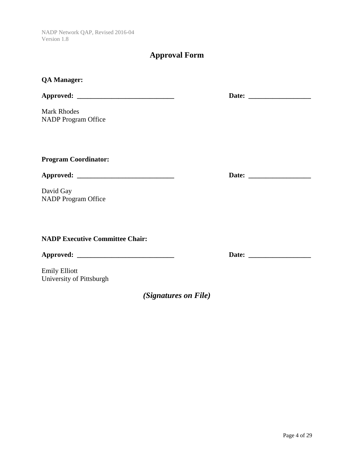### **Approval Form**

| <b>QA Manager:</b>                     |                                                                                                                                                                                                                                |
|----------------------------------------|--------------------------------------------------------------------------------------------------------------------------------------------------------------------------------------------------------------------------------|
|                                        |                                                                                                                                                                                                                                |
| <b>Mark Rhodes</b>                     |                                                                                                                                                                                                                                |
| <b>NADP</b> Program Office             |                                                                                                                                                                                                                                |
|                                        |                                                                                                                                                                                                                                |
|                                        |                                                                                                                                                                                                                                |
| <b>Program Coordinator:</b>            |                                                                                                                                                                                                                                |
|                                        |                                                                                                                                                                                                                                |
| David Gay                              |                                                                                                                                                                                                                                |
| <b>NADP</b> Program Office             |                                                                                                                                                                                                                                |
|                                        |                                                                                                                                                                                                                                |
|                                        |                                                                                                                                                                                                                                |
| <b>NADP Executive Committee Chair:</b> |                                                                                                                                                                                                                                |
|                                        | Date: the contract of the contract of the contract of the contract of the contract of the contract of the contract of the contract of the contract of the contract of the contract of the contract of the contract of the cont |

Emily Elliott University of Pittsburgh

*(Signatures on File)*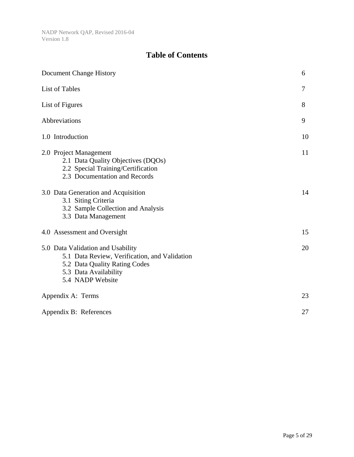### **Table of Contents**

| Document Change History                                                                                                                                          | 6  |
|------------------------------------------------------------------------------------------------------------------------------------------------------------------|----|
| <b>List of Tables</b>                                                                                                                                            | 7  |
| List of Figures                                                                                                                                                  | 8  |
| Abbreviations                                                                                                                                                    | 9  |
| 1.0 Introduction                                                                                                                                                 | 10 |
| 2.0 Project Management<br>2.1 Data Quality Objectives (DQOs)<br>2.2 Special Training/Certification<br>2.3 Documentation and Records                              | 11 |
| 3.0 Data Generation and Acquisition<br>3.1 Siting Criteria<br>3.2 Sample Collection and Analysis<br>3.3 Data Management                                          | 14 |
| 4.0 Assessment and Oversight                                                                                                                                     | 15 |
| 5.0 Data Validation and Usability<br>5.1 Data Review, Verification, and Validation<br>5.2 Data Quality Rating Codes<br>5.3 Data Availability<br>5.4 NADP Website | 20 |
| Appendix A: Terms                                                                                                                                                | 23 |
| Appendix B: References                                                                                                                                           | 27 |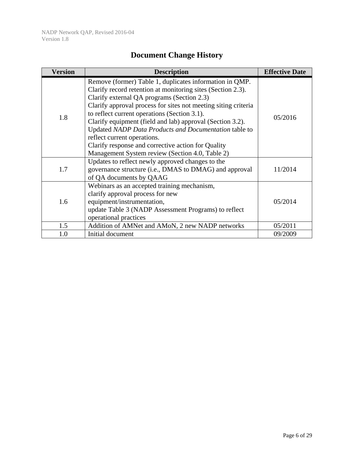| <b>Document Change History</b> |  |  |
|--------------------------------|--|--|
|--------------------------------|--|--|

| <b>Version</b> | <b>Description</b>                                                                                                                                                                                                                                                                                                                                                                                                                                                                                                                                   | <b>Effective Date</b> |
|----------------|------------------------------------------------------------------------------------------------------------------------------------------------------------------------------------------------------------------------------------------------------------------------------------------------------------------------------------------------------------------------------------------------------------------------------------------------------------------------------------------------------------------------------------------------------|-----------------------|
| 1.8            | Remove (former) Table 1, duplicates information in QMP.<br>Clarify record retention at monitoring sites (Section 2.3).<br>Clarify external QA programs (Section 2.3)<br>Clarify approval process for sites not meeting siting criteria<br>to reflect current operations (Section 3.1).<br>Clarify equipment (field and lab) approval (Section 3.2).<br>Updated NADP Data Products and Documentation table to<br>reflect current operations.<br>Clarify response and corrective action for Quality<br>Management System review (Section 4.0, Table 2) | 05/2016               |
| 1.7            | Updates to reflect newly approved changes to the<br>governance structure (i.e., DMAS to DMAG) and approval<br>of QA documents by QAAG                                                                                                                                                                                                                                                                                                                                                                                                                | 11/2014               |
| 1.6            | Webinars as an accepted training mechanism,<br>clarify approval process for new<br>equipment/instrumentation,<br>update Table 3 (NADP Assessment Programs) to reflect<br>operational practices                                                                                                                                                                                                                                                                                                                                                       | 05/2014               |
| 1.5            | Addition of AMNet and AMoN, 2 new NADP networks                                                                                                                                                                                                                                                                                                                                                                                                                                                                                                      | 05/2011               |
| 1.0            | Initial document                                                                                                                                                                                                                                                                                                                                                                                                                                                                                                                                     | 09/2009               |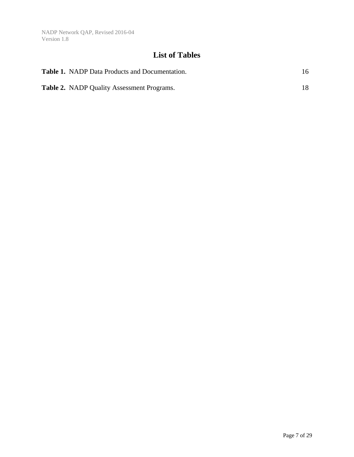### **List of Tables**

| <b>Table 1.</b> NADP Data Products and Documentation. | 16 |
|-------------------------------------------------------|----|
| <b>Table 2.</b> NADP Quality Assessment Programs.     | 18 |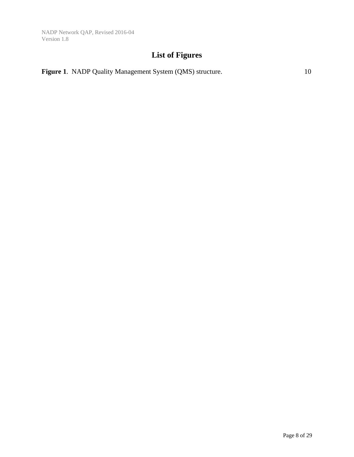### **List of Figures**

|  | Figure 1. NADP Quality Management System (QMS) structure. |  |
|--|-----------------------------------------------------------|--|
|--|-----------------------------------------------------------|--|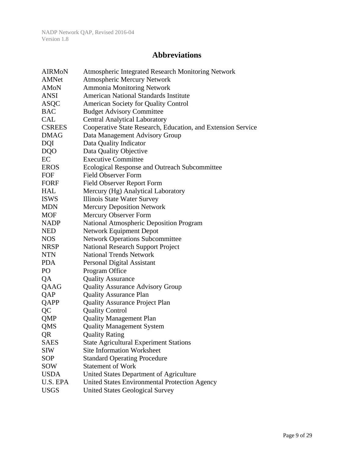#### **Abbreviations**

| <b>AIRMON</b> | <b>Atmospheric Integrated Research Monitoring Network</b>    |
|---------------|--------------------------------------------------------------|
| <b>AMNet</b>  | <b>Atmospheric Mercury Network</b>                           |
| AMoN          | <b>Ammonia Monitoring Network</b>                            |
| <b>ANSI</b>   | <b>American National Standards Institute</b>                 |
| <b>ASQC</b>   | <b>American Society for Quality Control</b>                  |
| <b>BAC</b>    | <b>Budget Advisory Committee</b>                             |
| CAL           | <b>Central Analytical Laboratory</b>                         |
| <b>CSREES</b> | Cooperative State Research, Education, and Extension Service |
| <b>DMAG</b>   | Data Management Advisory Group                               |
| <b>DQI</b>    | Data Quality Indicator                                       |
| DQO           | Data Quality Objective                                       |
| EC            | <b>Executive Committee</b>                                   |
| <b>EROS</b>   | Ecological Response and Outreach Subcommittee                |
| FOF           | <b>Field Observer Form</b>                                   |
| <b>FORF</b>   | <b>Field Observer Report Form</b>                            |
| HAL           | Mercury (Hg) Analytical Laboratory                           |
| <b>ISWS</b>   | Illinois State Water Survey                                  |
| <b>MDN</b>    | <b>Mercury Deposition Network</b>                            |
| <b>MOF</b>    | Mercury Observer Form                                        |
| <b>NADP</b>   | National Atmospheric Deposition Program                      |
| <b>NED</b>    | <b>Network Equipment Depot</b>                               |
| <b>NOS</b>    | <b>Network Operations Subcommittee</b>                       |
| <b>NRSP</b>   | <b>National Research Support Project</b>                     |
| <b>NTN</b>    | <b>National Trends Network</b>                               |
| <b>PDA</b>    | Personal Digital Assistant                                   |
| PO            | Program Office                                               |
| QA            | <b>Quality Assurance</b>                                     |
| QAAG          | <b>Quality Assurance Advisory Group</b>                      |
| QAP           | <b>Quality Assurance Plan</b>                                |
| QAPP          | <b>Quality Assurance Project Plan</b>                        |
| QC            | <b>Quality Control</b>                                       |
| <b>QMP</b>    | <b>Quality Management Plan</b>                               |
| QMS           | <b>Quality Management System</b>                             |
| QR            | <b>Quality Rating</b>                                        |
| <b>SAES</b>   | <b>State Agricultural Experiment Stations</b>                |
| <b>SIW</b>    | <b>Site Information Worksheet</b>                            |
| SOP           | <b>Standard Operating Procedure</b>                          |
| SOW           | <b>Statement of Work</b>                                     |
| <b>USDA</b>   | United States Department of Agriculture                      |
| U.S. EPA      | United States Environmental Protection Agency                |
| <b>USGS</b>   | <b>United States Geological Survey</b>                       |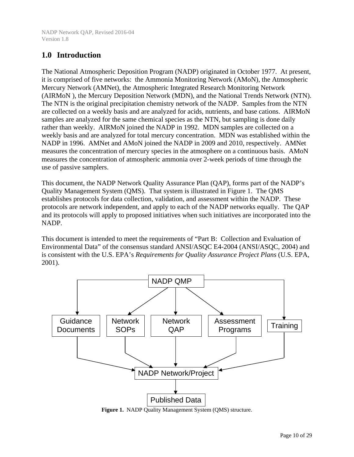#### **1.0 Introduction**

The National Atmospheric Deposition Program (NADP) originated in October 1977. At present, it is comprised of five networks: the Ammonia Monitoring Network (AMoN), the Atmospheric Mercury Network (AMNet), the Atmospheric Integrated Research Monitoring Network (AIRMoN ), the Mercury Deposition Network (MDN), and the National Trends Network (NTN). The NTN is the original precipitation chemistry network of the NADP. Samples from the NTN are collected on a weekly basis and are analyzed for acids, nutrients, and base cations. AIRMoN samples are analyzed for the same chemical species as the NTN, but sampling is done daily rather than weekly. AIRMoN joined the NADP in 1992. MDN samples are collected on a weekly basis and are analyzed for total mercury concentration. MDN was established within the NADP in 1996. AMNet and AMoN joined the NADP in 2009 and 2010, respectively. AMNet measures the concentration of mercury species in the atmosphere on a continuous basis. AMoN measures the concentration of atmospheric ammonia over 2-week periods of time through the use of passive samplers.

This document, the NADP Network Quality Assurance Plan (QAP), forms part of the NADP's Quality Management System (QMS). That system is illustrated in Figure 1. The QMS establishes protocols for data collection, validation, and assessment within the NADP. These protocols are network independent, and apply to each of the NADP networks equally. The QAP and its protocols will apply to proposed initiatives when such initiatives are incorporated into the NADP.

This document is intended to meet the requirements of "Part B: Collection and Evaluation of Environmental Data" of the consensus standard ANSI/ASQC E4-2004 (ANSI/ASQC, 2004) and is consistent with the U.S. EPA's *Requirements for Quality Assurance Project Plans* (U.S. EPA, 2001).



**Figure 1.** NADP Quality Management System (QMS) structure.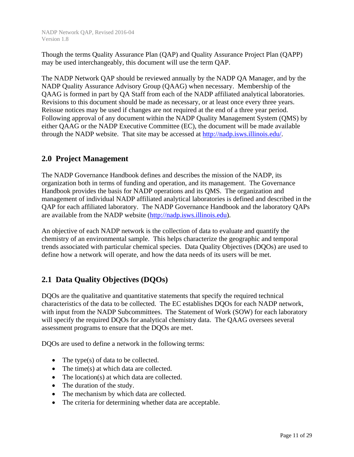Though the terms Quality Assurance Plan (QAP) and Quality Assurance Project Plan (QAPP) may be used interchangeably, this document will use the term QAP.

The NADP Network QAP should be reviewed annually by the NADP QA Manager, and by the NADP Quality Assurance Advisory Group (QAAG) when necessary. Membership of the QAAG is formed in part by QA Staff from each of the NADP affiliated analytical laboratories. Revisions to this document should be made as necessary, or at least once every three years. Reissue notices may be used if changes are not required at the end of a three year period. Following approval of any document within the NADP Quality Management System (QMS) by either QAAG or the NADP Executive Committee (EC), the document will be made available through the NADP website. That site may be accessed at http://nadp.isws.illinois.edu/.

#### **2.0 Project Management**

The NADP Governance Handbook defines and describes the mission of the NADP, its organization both in terms of funding and operation, and its management. The Governance Handbook provides the basis for NADP operations and its QMS. The organization and management of individual NADP affiliated analytical laboratories is defined and described in the QAP for each affiliated laboratory. The NADP Governance Handbook and the laboratory QAPs are available from the NADP website (http://nadp.isws.illinois.edu).

An objective of each NADP network is the collection of data to evaluate and quantify the chemistry of an environmental sample. This helps characterize the geographic and temporal trends associated with particular chemical species. Data Quality Objectives (DQOs) are used to define how a network will operate, and how the data needs of its users will be met.

#### **2.1 Data Quality Objectives (DQOs)**

DQOs are the qualitative and quantitative statements that specify the required technical characteristics of the data to be collected. The EC establishes DQOs for each NADP network, with input from the NADP Subcommittees. The Statement of Work (SOW) for each laboratory will specify the required DQOs for analytical chemistry data. The QAAG oversees several assessment programs to ensure that the DQOs are met.

DQOs are used to define a network in the following terms:

- The type(s) of data to be collected.
- The time(s) at which data are collected.
- The location(s) at which data are collected.
- The duration of the study.
- The mechanism by which data are collected.
- The criteria for determining whether data are acceptable.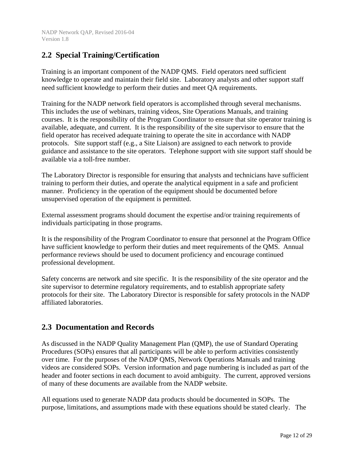#### **2.2 Special Training/Certification**

Training is an important component of the NADP QMS. Field operators need sufficient knowledge to operate and maintain their field site. Laboratory analysts and other support staff need sufficient knowledge to perform their duties and meet QA requirements.

Training for the NADP network field operators is accomplished through several mechanisms. This includes the use of webinars, training videos, Site Operations Manuals, and training courses. It is the responsibility of the Program Coordinator to ensure that site operator training is available, adequate, and current. It is the responsibility of the site supervisor to ensure that the field operator has received adequate training to operate the site in accordance with NADP protocols. Site support staff (e.g., a Site Liaison) are assigned to each network to provide guidance and assistance to the site operators. Telephone support with site support staff should be available via a toll-free number.

The Laboratory Director is responsible for ensuring that analysts and technicians have sufficient training to perform their duties, and operate the analytical equipment in a safe and proficient manner. Proficiency in the operation of the equipment should be documented before unsupervised operation of the equipment is permitted.

External assessment programs should document the expertise and/or training requirements of individuals participating in those programs.

It is the responsibility of the Program Coordinator to ensure that personnel at the Program Office have sufficient knowledge to perform their duties and meet requirements of the QMS. Annual performance reviews should be used to document proficiency and encourage continued professional development.

Safety concerns are network and site specific. It is the responsibility of the site operator and the site supervisor to determine regulatory requirements, and to establish appropriate safety protocols for their site. The Laboratory Director is responsible for safety protocols in the NADP affiliated laboratories.

#### **2.3 Documentation and Records**

As discussed in the NADP Quality Management Plan (QMP), the use of Standard Operating Procedures (SOPs) ensures that all participants will be able to perform activities consistently over time. For the purposes of the NADP QMS, Network Operations Manuals and training videos are considered SOPs. Version information and page numbering is included as part of the header and footer sections in each document to avoid ambiguity. The current, approved versions of many of these documents are available from the NADP website.

All equations used to generate NADP data products should be documented in SOPs. The purpose, limitations, and assumptions made with these equations should be stated clearly. The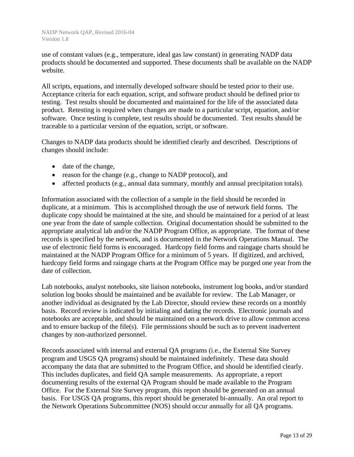use of constant values (e.g., temperature, ideal gas law constant) in generating NADP data products should be documented and supported. These documents shall be available on the NADP website.

All scripts, equations, and internally developed software should be tested prior to their use. Acceptance criteria for each equation, script, and software product should be defined prior to testing. Test results should be documented and maintained for the life of the associated data product. Retesting is required when changes are made to a particular script, equation, and/or software. Once testing is complete, test results should be documented. Test results should be traceable to a particular version of the equation, script, or software.

Changes to NADP data products should be identified clearly and described. Descriptions of changes should include:

- date of the change,
- reason for the change (e.g., change to NADP protocol), and
- affected products (e.g., annual data summary, monthly and annual precipitation totals).

Information associated with the collection of a sample in the field should be recorded in duplicate, at a minimum. This is accomplished through the use of network field forms. The duplicate copy should be maintained at the site, and should be maintained for a period of at least one year from the date of sample collection. Original documentation should be submitted to the appropriate analytical lab and/or the NADP Program Office, as appropriate. The format of these records is specified by the network, and is documented in the Network Operations Manual. The use of electronic field forms is encouraged. Hardcopy field forms and raingage charts should be maintained at the NADP Program Office for a minimum of 5 years. If digitized, and archived, hardcopy field forms and raingage charts at the Program Office may be purged one year from the date of collection.

Lab notebooks, analyst notebooks, site liaison notebooks, instrument log books, and/or standard solution log books should be maintained and be available for review. The Lab Manager, or another individual as designated by the Lab Director, should review these records on a monthly basis. Record review is indicated by initialing and dating the records. Electronic journals and notebooks are acceptable, and should be maintained on a network drive to allow common access and to ensure backup of the file(s). File permissions should be such as to prevent inadvertent changes by non-authorized personnel.

Records associated with internal and external QA programs (i.e., the External Site Survey program and USGS QA programs) should be maintained indefinitely. These data should accompany the data that are submitted to the Program Office, and should be identified clearly. This includes duplicates, and field QA sample measurements. As appropriate, a report documenting results of the external QA Program should be made available to the Program Office. For the External Site Survey program, this report should be generated on an annual basis. For USGS QA programs, this report should be generated bi-annually. An oral report to the Network Operations Subcommittee (NOS) should occur annually for all QA programs.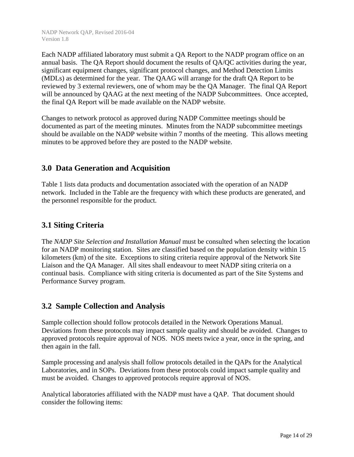Each NADP affiliated laboratory must submit a QA Report to the NADP program office on an annual basis. The QA Report should document the results of QA/QC activities during the year, significant equipment changes, significant protocol changes, and Method Detection Limits (MDLs) as determined for the year. The QAAG will arrange for the draft QA Report to be reviewed by 3 external reviewers, one of whom may be the QA Manager. The final QA Report will be announced by QAAG at the next meeting of the NADP Subcommittees. Once accepted, the final QA Report will be made available on the NADP website.

Changes to network protocol as approved during NADP Committee meetings should be documented as part of the meeting minutes. Minutes from the NADP subcommittee meetings should be available on the NADP website within 7 months of the meeting. This allows meeting minutes to be approved before they are posted to the NADP website.

#### **3.0 Data Generation and Acquisition**

Table 1 lists data products and documentation associated with the operation of an NADP network. Included in the Table are the frequency with which these products are generated, and the personnel responsible for the product.

#### **3.1 Siting Criteria**

The *NADP Site Selection and Installation Manual* must be consulted when selecting the location for an NADP monitoring station. Sites are classified based on the population density within 15 kilometers (km) of the site. Exceptions to siting criteria require approval of the Network Site Liaison and the QA Manager. All sites shall endeavour to meet NADP siting criteria on a continual basis. Compliance with siting criteria is documented as part of the Site Systems and Performance Survey program.

#### **3.2 Sample Collection and Analysis**

Sample collection should follow protocols detailed in the Network Operations Manual. Deviations from these protocols may impact sample quality and should be avoided. Changes to approved protocols require approval of NOS. NOS meets twice a year, once in the spring, and then again in the fall.

Sample processing and analysis shall follow protocols detailed in the QAPs for the Analytical Laboratories, and in SOPs. Deviations from these protocols could impact sample quality and must be avoided. Changes to approved protocols require approval of NOS.

Analytical laboratories affiliated with the NADP must have a QAP. That document should consider the following items: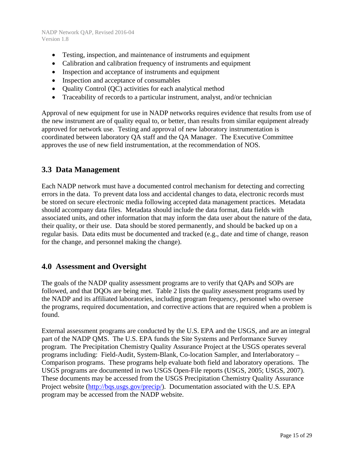- Testing, inspection, and maintenance of instruments and equipment
- Calibration and calibration frequency of instruments and equipment
- Inspection and acceptance of instruments and equipment
- Inspection and acceptance of consumables
- Quality Control (QC) activities for each analytical method
- Traceability of records to a particular instrument, analyst, and/or technician

Approval of new equipment for use in NADP networks requires evidence that results from use of the new instrument are of quality equal to, or better, than results from similar equipment already approved for network use. Testing and approval of new laboratory instrumentation is coordinated between laboratory QA staff and the QA Manager. The Executive Committee approves the use of new field instrumentation, at the recommendation of NOS.

#### **3.3 Data Management**

Each NADP network must have a documented control mechanism for detecting and correcting errors in the data. To prevent data loss and accidental changes to data, electronic records must be stored on secure electronic media following accepted data management practices. Metadata should accompany data files. Metadata should include the data format, data fields with associated units, and other information that may inform the data user about the nature of the data, their quality, or their use. Data should be stored permanently, and should be backed up on a regular basis. Data edits must be documented and tracked (e.g., date and time of change, reason for the change, and personnel making the change).

#### **4.0 Assessment and Oversight**

The goals of the NADP quality assessment programs are to verify that QAPs and SOPs are followed, and that DQOs are being met. Table 2 lists the quality assessment programs used by the NADP and its affiliated laboratories, including program frequency, personnel who oversee the programs, required documentation, and corrective actions that are required when a problem is found.

External assessment programs are conducted by the U.S. EPA and the USGS, and are an integral part of the NADP QMS. The U.S. EPA funds the Site Systems and Performance Survey program. The Precipitation Chemistry Quality Assurance Project at the USGS operates several programs including: Field-Audit, System-Blank, Co-location Sampler, and Interlaboratory – Comparison programs. These programs help evaluate both field and laboratory operations. The USGS programs are documented in two USGS Open-File reports (USGS, 2005; USGS, 2007). These documents may be accessed from the USGS Precipitation Chemistry Quality Assurance Project website (http://bqs.usgs.gov/precip/). Documentation associated with the U.S. EPA program may be accessed from the NADP website.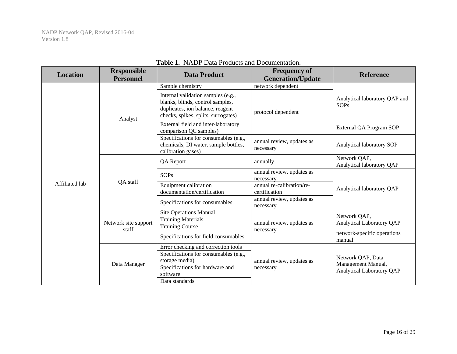| <b>Location</b> | <b>Responsible</b><br><b>Personnel</b> | <b>Data Product</b>                                                                                                                               | <b>Frequency of</b><br><b>Generation/Update</b> | <b>Reference</b>                             |  |
|-----------------|----------------------------------------|---------------------------------------------------------------------------------------------------------------------------------------------------|-------------------------------------------------|----------------------------------------------|--|
|                 | Analyst                                | Sample chemistry                                                                                                                                  | network dependent                               |                                              |  |
|                 |                                        | Internal validation samples (e.g.,<br>blanks, blinds, control samples,<br>duplicates, ion balance, reagent<br>checks, spikes, splits, surrogates) | protocol dependent                              | Analytical laboratory QAP and<br><b>SOPs</b> |  |
|                 |                                        | External field and inter-laboratory<br>comparison QC samples)                                                                                     |                                                 | External QA Program SOP                      |  |
|                 |                                        | Specifications for consumables (e.g.,<br>chemicals, DI water, sample bottles,<br>calibration gases)                                               | annual review, updates as<br>necessary          | Analytical laboratory SOP                    |  |
|                 | QA staff                               | QA Report<br>annually                                                                                                                             |                                                 | Network QAP,<br>Analytical laboratory QAP    |  |
|                 |                                        | <b>SOPs</b>                                                                                                                                       | annual review, updates as<br>necessary          |                                              |  |
| Affiliated lab  |                                        | Equipment calibration<br>documentation/certification                                                                                              | annual re-calibration/re-<br>certification      | Analytical laboratory QAP                    |  |
|                 |                                        | Specifications for consumables                                                                                                                    | annual review, updates as<br>necessary          |                                              |  |
|                 | Network site support<br>staff          | <b>Site Operations Manual</b>                                                                                                                     |                                                 | Network QAP,                                 |  |
|                 |                                        | <b>Training Materials</b>                                                                                                                         | annual review, updates as                       | <b>Analytical Laboratory QAP</b>             |  |
|                 |                                        | <b>Training Course</b>                                                                                                                            | necessary                                       |                                              |  |
|                 |                                        | Specifications for field consumables                                                                                                              |                                                 | network-specific operations<br>manual        |  |
|                 |                                        | Error checking and correction tools                                                                                                               |                                                 |                                              |  |
|                 |                                        | Specifications for consumables (e.g.,                                                                                                             |                                                 | Network QAP, Data                            |  |
|                 | Data Manager                           | storage media)                                                                                                                                    | annual review, updates as                       | Management Manual,                           |  |
|                 |                                        | Specifications for hardware and<br>software                                                                                                       | necessary                                       | <b>Analytical Laboratory QAP</b>             |  |
|                 |                                        | Data standards                                                                                                                                    |                                                 |                                              |  |

#### **Table 1.** NADP Data Products and Documentation.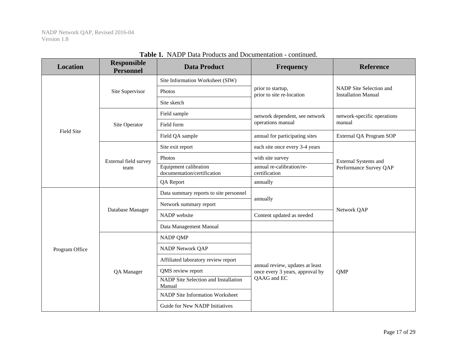| <b>Location</b>   | <b>Responsible</b><br><b>Personnel</b> | <b>Data Product</b>                                  | <b>Frequency</b>                               | <b>Reference</b>                                      |  |
|-------------------|----------------------------------------|------------------------------------------------------|------------------------------------------------|-------------------------------------------------------|--|
|                   | Site Supervisor                        | Site Information Worksheet (SIW)                     |                                                |                                                       |  |
|                   |                                        | Photos                                               | prior to startup,<br>prior to site re-location | NADP Site Selection and<br><b>Installation Manual</b> |  |
|                   |                                        | Site sketch                                          |                                                |                                                       |  |
|                   |                                        | Field sample                                         | network dependent, see network                 |                                                       |  |
| <b>Field Site</b> | Site Operator                          | Field form                                           | operations manual                              | manual                                                |  |
|                   |                                        | Field QA sample                                      | annual for participating sites                 | External QA Program SOP                               |  |
|                   |                                        | Site exit report                                     | each site once every 3-4 years                 |                                                       |  |
|                   | External field survey                  | Photos                                               | with site survey                               | <b>External Systems and</b>                           |  |
|                   | team                                   | Equipment calibration<br>documentation/certification | annual re-calibration/re-<br>certification     | Performance Survey QAP                                |  |
|                   |                                        | QA Report                                            | annually                                       |                                                       |  |
|                   | Database Manager                       | Data summary reports to site personnel               | annually                                       | Network QAP                                           |  |
|                   |                                        | Network summary report                               |                                                |                                                       |  |
|                   |                                        | NADP website                                         | Content updated as needed                      |                                                       |  |
|                   |                                        | Data Management Manual                               |                                                |                                                       |  |
|                   |                                        | <b>NADP QMP</b>                                      |                                                |                                                       |  |
| Program Office    |                                        | NADP Network QAP                                     |                                                |                                                       |  |
|                   |                                        | Affiliated laboratory review report                  | annual review, updates at least                |                                                       |  |
|                   | QA Manager                             | QMS review report                                    | once every 3 years, approval by                | QMP                                                   |  |
|                   |                                        | NADP Site Selection and Installation<br>Manual       | QAAG and EC                                    |                                                       |  |
|                   |                                        | NADP Site Information Worksheet                      |                                                |                                                       |  |
|                   |                                        | Guide for New NADP Initiatives                       |                                                |                                                       |  |

**Table 1.** NADP Data Products and Documentation - continued.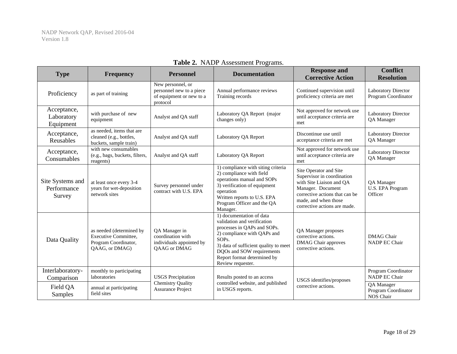| <b>Type</b>                               | <b>Frequency</b>                                                                           | <b>Personnel</b>                                                                      | <b>Documentation</b>                                                                                                                                                                                                                                                  | <b>Response and</b><br><b>Corrective Action</b>                                                                                                                                                 | <b>Conflict</b><br><b>Resolution</b>              |
|-------------------------------------------|--------------------------------------------------------------------------------------------|---------------------------------------------------------------------------------------|-----------------------------------------------------------------------------------------------------------------------------------------------------------------------------------------------------------------------------------------------------------------------|-------------------------------------------------------------------------------------------------------------------------------------------------------------------------------------------------|---------------------------------------------------|
| Proficiency                               | as part of training                                                                        | New personnel, or<br>personnel new to a piece<br>of equipment or new to a<br>protocol | Annual performance reviews<br>Training records                                                                                                                                                                                                                        | Continued supervision until<br>proficiency criteria are met                                                                                                                                     | <b>Laboratory Director</b><br>Program Coordinator |
| Acceptance,<br>Laboratory<br>Equipment    | with purchase of new<br>equipment                                                          | Analyst and QA staff                                                                  | Laboratory QA Report (major<br>changes only)                                                                                                                                                                                                                          | Not approved for network use<br>until acceptance criteria are<br>met                                                                                                                            | Laboratory Director<br>QA Manager                 |
| Acceptance,<br>Reusables                  | as needed, items that are<br>cleaned (e.g., bottles,<br>buckets, sample train)             | Analyst and QA staff                                                                  | Laboratory QA Report                                                                                                                                                                                                                                                  | Discontinue use until<br>acceptance criteria are met                                                                                                                                            | Laboratory Director<br>QA Manager                 |
| Acceptance,<br>Consumables                | with new consumables<br>(e.g., bags, buckets, filters,<br>reagents)                        | Analyst and QA staff                                                                  | Laboratory QA Report                                                                                                                                                                                                                                                  | Not approved for network use<br>until acceptance criteria are<br>met                                                                                                                            | <b>Laboratory Director</b><br>QA Manager          |
| Site Systems and<br>Performance<br>Survey | at least once every 3-4<br>years for wet-deposition<br>network sites                       | Survey personnel under<br>contract with U.S. EPA                                      | 1) compliance with siting criteria<br>2) compliance with field<br>operations manual and SOPs<br>3) verification of equipment<br>operation<br>Written reports to U.S. EPA<br>Program Officer and the QA<br>Manager.                                                    | Site Operator and Site<br>Supervisor in coordination<br>with Site Liaison and QA<br>Manager. Document<br>corrective actions that can be<br>made, and when those<br>corrective actions are made. | QA Manager<br>U.S. EPA Program<br>Officer         |
| Data Quality                              | as needed (determined by<br>Executive Committee,<br>Program Coordinator,<br>OAAG, or DMAG) | QA Manager in<br>coordination with<br>individuals appointed by<br>QAAG or DMAG        | 1) documentation of data<br>validation and verification<br>processes in QAPs and SOPs.<br>2) compliance with QAPs and<br>SOP <sub>s</sub> .<br>3) data of sufficient quality to meet<br>DQOs and SOW requirements<br>Report format determined by<br>Review requester. | QA Manager proposes<br>corrective actions.<br><b>DMAG</b> Chair approves<br>corrective actions.                                                                                                 | <b>DMAG</b> Chair<br>NADP EC Chair                |
| Interlaboratory-<br>Comparison            | monthly to participating<br>laboratories                                                   | <b>USGS</b> Precipitation                                                             | Results posted to an access                                                                                                                                                                                                                                           | USGS identifies/proposes                                                                                                                                                                        | Program Coordinator<br>NADP EC Chair              |
| Field QA<br>Samples                       | annual at participating<br>field sites                                                     | <b>Chemistry Quality</b><br><b>Assurance Project</b>                                  | controlled website, and published<br>in USGS reports.                                                                                                                                                                                                                 | corrective actions.                                                                                                                                                                             | QA Manager<br>Program Coordinator<br>NOS Chair    |

#### **Table 2.** NADP Assessment Programs.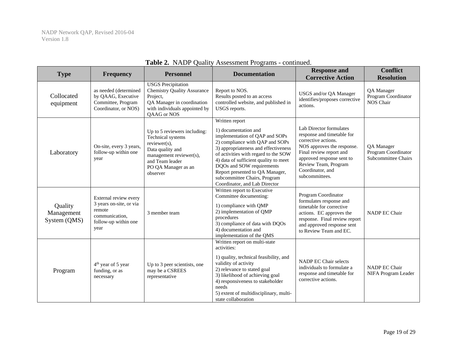| <b>Type</b>                           | <b>Frequency</b>                                                                                             | <b>Personnel</b>                                                                                                                                                          | <b>Documentation</b>                                                                                                                                                                                                                                                                                                                                                  | <b>Response and</b><br><b>Corrective Action</b>                                                                                                                                                                                  | <b>Conflict</b><br><b>Resolution</b>                     |
|---------------------------------------|--------------------------------------------------------------------------------------------------------------|---------------------------------------------------------------------------------------------------------------------------------------------------------------------------|-----------------------------------------------------------------------------------------------------------------------------------------------------------------------------------------------------------------------------------------------------------------------------------------------------------------------------------------------------------------------|----------------------------------------------------------------------------------------------------------------------------------------------------------------------------------------------------------------------------------|----------------------------------------------------------|
| Collocated<br>equipment               | as needed (determined<br>by QAAG, Executive<br>Committee, Program<br>Coordinator, or NOS)                    | <b>USGS</b> Precipitation<br><b>Chemistry Quality Assurance</b><br>Project,<br>QA Manager in coordination<br>with individuals appointed by<br>QAAG or NOS                 | Report to NOS.<br>Results posted to an access<br>controlled website, and published in<br>USGS reports.                                                                                                                                                                                                                                                                | USGS and/or QA Manager<br>identifies/proposes corrective<br>actions.                                                                                                                                                             | QA Manager<br>Program Coordinator<br>NOS Chair           |
| Laboratory                            | On-site, every 3 years,<br>follow-up within one<br>year                                                      | Up to 5 reviewers including:<br>Technical systems<br>$reviewer(s)$ ,<br>Data quality and<br>management reviewer(s),<br>and Team leader<br>PO QA Manager as an<br>observer | Written report<br>1) documentation and<br>implementation of QAP and SOPs<br>2) compliance with QAP and SOPs<br>3) appropriateness and effectiveness<br>of activities with regard to the SOW<br>4) data of sufficient quality to meet<br>DQOs and SOW requirements<br>Report presented to QA Manager,<br>subcommittee Chairs, Program<br>Coordinator, and Lab Director | Lab Director formulates<br>response and timetable for<br>corrective actions.<br>NOS approves the response.<br>Final review report and<br>approved response sent to<br>Review Team, Program<br>Coordinator, and<br>subcommittees. | QA Manager<br>Program Coordinator<br>Subcommittee Chairs |
| Quality<br>Management<br>System (QMS) | External review every<br>3 years on-site, or via<br>remote<br>communication,<br>follow-up within one<br>year | 3 member team                                                                                                                                                             | Written report to Executive<br>Committee documenting:<br>1) compliance with QMP<br>2) implementation of QMP<br>procedures<br>3) compliance of data with DQOs<br>4) documentation and<br>implementation of the QMS                                                                                                                                                     | Program Coordinator<br>formulates response and<br>timetable for corrective<br>actions. EC approves the<br>response. Final review report<br>and approved response sent<br>to Review Team and EC.                                  | NADP EC Chair                                            |
| Program                               | 4 <sup>th</sup> year of 5 year<br>funding, or as<br>necessary                                                | Up to 3 peer scientists, one<br>may be a CSREES<br>representative                                                                                                         | Written report on multi-state<br>activities:<br>1) quality, technical feasibility, and<br>validity of activity<br>2) relevance to stated goal<br>3) likelihood of achieving goal<br>4) responsiveness to stakeholder<br>needs<br>5) extent of multidisciplinary, multi-<br>state collaboration                                                                        | NADP EC Chair selects<br>individuals to formulate a<br>response and timetable for<br>corrective actions.                                                                                                                         | NADP EC Chair<br>NIFA Program Leader                     |

#### **Table 2.** NADP Quality Assessment Programs - continued.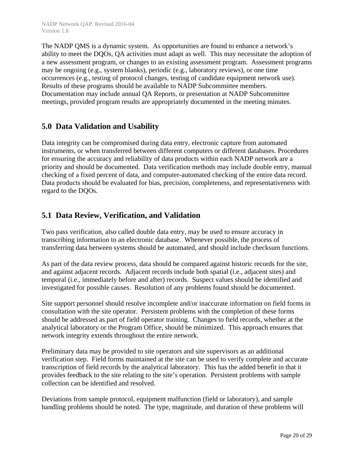The NADP QMS is a dynamic system. As opportunities are found to enhance a network's ability to meet the DQOs, QA activities must adapt as well. This may necessitate the adoption of a new assessment program, or changes to an existing assessment program. Assessment programs may be ongoing (e.g., system blanks), periodic (e.g., laboratory reviews), or one time occurrences (e.g., testing of protocol changes, testing of candidate equipment network use). Results of these programs should be available to NADP Subcommittee members. Documentation may include annual QA Reports, or presentation at NADP Subcommittee meetings, provided program results are appropriately documented in the meeting minutes.

#### **5.0 Data Validation and Usability**

Data integrity can be compromised during data entry, electronic capture from automated instruments, or when transferred between different computers or different databases. Procedures for ensuring the accuracy and reliability of data products within each NADP network are a priority and should be documented. Data verification methods may include double entry, manual checking of a fixed percent of data, and computer-automated checking of the entire data record. Data products should be evaluated for bias, precision, completeness, and representativeness with regard to the DQOs.

#### **5.1 Data Review, Verification, and Validation**

Two pass verification, also called double data entry, may be used to ensure accuracy in transcribing information to an electronic database. Whenever possible, the process of transferring data between systems should be automated, and should include checksum functions.

As part of the data review process, data should be compared against historic records for the site, and against adjacent records. Adjacent records include both spatial (i.e., adjacent sites) and temporal (i.e., immediately before and after) records. Suspect values should be identified and investigated for possible causes. Resolution of any problems found should be documented.

Site support personnel should resolve incomplete and/or inaccurate information on field forms in consultation with the site operator. Persistent problems with the completion of these forms should be addressed as part of field operator training. Changes to field records, whether at the analytical laboratory or the Program Office, should be minimized. This approach ensures that network integrity extends throughout the entire network.

Preliminary data may be provided to site operators and site supervisors as an additional verification step. Field forms maintained at the site can be used to verify complete and accurate transcription of field records by the analytical laboratory. This has the added benefit in that it provides feedback to the site relating to the site's operation. Persistent problems with sample collection can be identified and resolved.

Deviations from sample protocol, equipment malfunction (field or laboratory), and sample handling problems should be noted. The type, magnitude, and duration of these problems will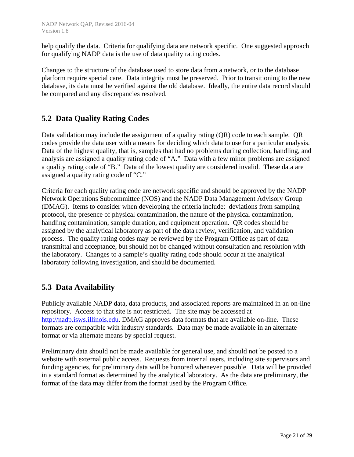help qualify the data. Criteria for qualifying data are network specific. One suggested approach for qualifying NADP data is the use of data quality rating codes.

Changes to the structure of the database used to store data from a network, or to the database platform require special care. Data integrity must be preserved. Prior to transitioning to the new database, its data must be verified against the old database. Ideally, the entire data record should be compared and any discrepancies resolved.

#### **5.2 Data Quality Rating Codes**

Data validation may include the assignment of a quality rating (QR) code to each sample. QR codes provide the data user with a means for deciding which data to use for a particular analysis. Data of the highest quality, that is, samples that had no problems during collection, handling, and analysis are assigned a quality rating code of "A." Data with a few minor problems are assigned a quality rating code of "B." Data of the lowest quality are considered invalid. These data are assigned a quality rating code of "C."

Criteria for each quality rating code are network specific and should be approved by the NADP Network Operations Subcommittee (NOS) and the NADP Data Management Advisory Group (DMAG). Items to consider when developing the criteria include: deviations from sampling protocol, the presence of physical contamination, the nature of the physical contamination, handling contamination, sample duration, and equipment operation. QR codes should be assigned by the analytical laboratory as part of the data review, verification, and validation process. The quality rating codes may be reviewed by the Program Office as part of data transmittal and acceptance, but should not be changed without consultation and resolution with the laboratory. Changes to a sample's quality rating code should occur at the analytical laboratory following investigation, and should be documented.

#### **5.3 Data Availability**

Publicly available NADP data, data products, and associated reports are maintained in an on-line repository. Access to that site is not restricted. The site may be accessed at http://nadp.isws.illinois.edu. DMAG approves data formats that are available on-line. These formats are compatible with industry standards. Data may be made available in an alternate format or via alternate means by special request.

Preliminary data should not be made available for general use, and should not be posted to a website with external public access. Requests from internal users, including site supervisors and funding agencies, for preliminary data will be honored whenever possible. Data will be provided in a standard format as determined by the analytical laboratory. As the data are preliminary, the format of the data may differ from the format used by the Program Office.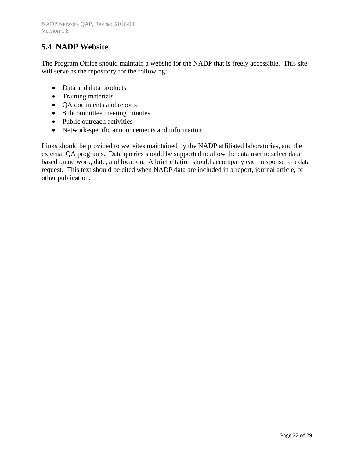### **5.4 NADP Website**

The Program Office should maintain a website for the NADP that is freely accessible. This site will serve as the repository for the following:

- Data and data products
- Training materials
- QA documents and reports
- Subcommittee meeting minutes
- Public outreach activities
- Network-specific announcements and information

Links should be provided to websites maintained by the NADP affiliated laboratories, and the external QA programs. Data queries should be supported to allow the data user to select data based on network, date, and location. A brief citation should accompany each response to a data request. This text should be cited when NADP data are included in a report, journal article, or other publication.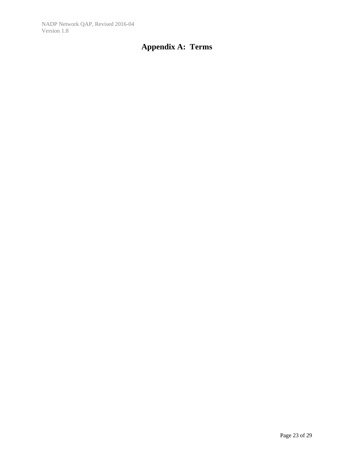# **Appendix A: Terms**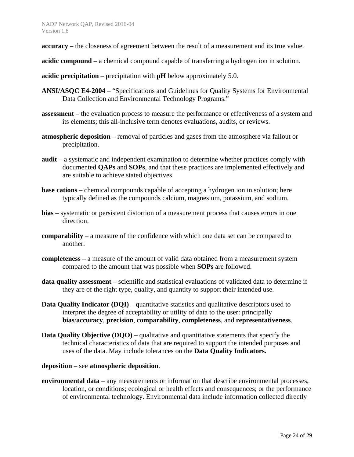- **accuracy** the closeness of agreement between the result of a measurement and its true value.
- **acidic compound**  a chemical compound capable of transferring a hydrogen ion in solution.
- **acidic precipitation** precipitation with **pH** below approximately 5.0.
- **ANSI/ASQC E4-2004** "Specifications and Guidelines for Quality Systems for Environmental Data Collection and Environmental Technology Programs."
- **assessment**  the evaluation process to measure the performance or effectiveness of a system and its elements; this all-inclusive term denotes evaluations, audits, or reviews.
- **atmospheric deposition** removal of particles and gases from the atmosphere via fallout or precipitation.
- **audit** a systematic and independent examination to determine whether practices comply with documented **QAPs** and **SOPs**, and that these practices are implemented effectively and are suitable to achieve stated objectives.
- **base cations** chemical compounds capable of accepting a hydrogen ion in solution; here typically defined as the compounds calcium, magnesium, potassium, and sodium.
- **bias**  systematic or persistent distortion of a measurement process that causes errors in one direction.
- **comparability** a measure of the confidence with which one data set can be compared to another.
- **completeness** a measure of the amount of valid data obtained from a measurement system compared to the amount that was possible when **SOPs** are followed.
- **data quality assessment**  scientific and statistical evaluations of validated data to determine if they are of the right type, quality, and quantity to support their intended use.
- **Data Quality Indicator (DQI)** quantitative statistics and qualitative descriptors used to interpret the degree of acceptability or utility of data to the user: principally **bias**/**accuracy**, **precision**, **comparability**, **completeness**, and **representativeness**.
- **Data Quality Objective (DQO)** qualitative and quantitative statements that specify the technical characteristics of data that are required to support the intended purposes and uses of the data. May include tolerances on the **Data Quality Indicators.**

#### **deposition** – see **atmospheric deposition**.

**environmental data** – any measurements or information that describe environmental processes, location, or conditions; ecological or health effects and consequences; or the performance of environmental technology. Environmental data include information collected directly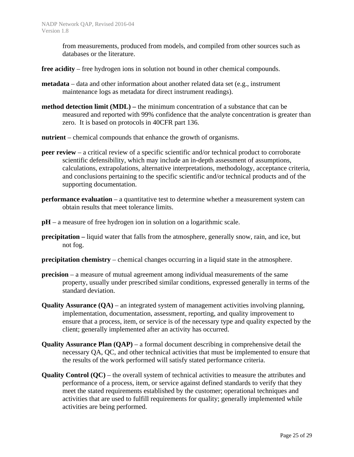from measurements, produced from models, and compiled from other sources such as databases or the literature.

- **free acidity** free hydrogen ions in solution not bound in other chemical compounds.
- **metadata** data and other information about another related data set (e.g., instrument maintenance logs as metadata for direct instrument readings).
- **method detection limit (MDL)** the minimum concentration of a substance that can be measured and reported with 99% confidence that the analyte concentration is greater than zero. It is based on protocols in 40CFR part 136.
- **nutrient** chemical compounds that enhance the growth of organisms.
- **peer review** a critical review of a specific scientific and/or technical product to corroborate scientific defensibility, which may include an in-depth assessment of assumptions, calculations, extrapolations, alternative interpretations, methodology, acceptance criteria, and conclusions pertaining to the specific scientific and/or technical products and of the supporting documentation.
- **performance evaluation** a quantitative test to determine whether a measurement system can obtain results that meet tolerance limits.
- **pH** a measure of free hydrogen ion in solution on a logarithmic scale.
- **precipitation –** liquid water that falls from the atmosphere, generally snow, rain, and ice, but not fog.
- **precipitation chemistry** chemical changes occurring in a liquid state in the atmosphere.
- **precision** a measure of mutual agreement among individual measurements of the same property, usually under prescribed similar conditions, expressed generally in terms of the standard deviation.
- **Quality Assurance (QA)** an integrated system of management activities involving planning, implementation, documentation, assessment, reporting, and quality improvement to ensure that a process, item, or service is of the necessary type and quality expected by the client; generally implemented after an activity has occurred.
- **Quality Assurance Plan (QAP)**  a formal document describing in comprehensive detail the necessary QA, QC, and other technical activities that must be implemented to ensure that the results of the work performed will satisfy stated performance criteria.
- **Quality Control (QC)** the overall system of technical activities to measure the attributes and performance of a process, item, or service against defined standards to verify that they meet the stated requirements established by the customer; operational techniques and activities that are used to fulfill requirements for quality; generally implemented while activities are being performed.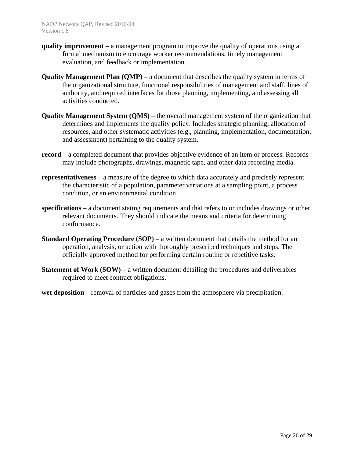- **quality improvement**  a management program to improve the quality of operations using a formal mechanism to encourage worker recommendations, timely management evaluation, and feedback or implementation.
- **Quality Management Plan (QMP)** a document that describes the quality system in terms of the organizational structure, functional responsibilities of management and staff, lines of authority, and required interfaces for those planning, implementing, and assessing all activities conducted.
- **Quality Management System (QMS)**  the overall management system of the organization that determines and implements the quality policy. Includes strategic planning, allocation of resources, and other systematic activities (e.g., planning, implementation, documentation, and assessment) pertaining to the quality system.
- **record**  a completed document that provides objective evidence of an item or process. Records may include photographs, drawings, magnetic tape, and other data recording media.
- **representativeness** a measure of the degree to which data accurately and precisely represent the characteristic of a population, parameter variations at a sampling point, a process condition, or an environmental condition.
- **specifications**  a document stating requirements and that refers to or includes drawings or other relevant documents. They should indicate the means and criteria for determining conformance.
- **Standard Operating Procedure (SOP)** a written document that details the method for an operation, analysis, or action with thoroughly prescribed techniques and steps. The officially approved method for performing certain routine or repetitive tasks.
- **Statement of Work (SOW)** a written document detailing the procedures and deliverables required to meet contract obligations.
- **wet deposition** removal of particles and gases from the atmosphere via precipitation.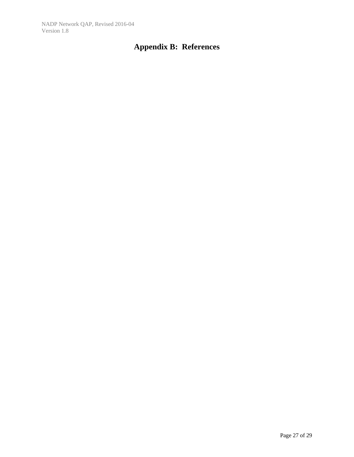# **Appendix B: References**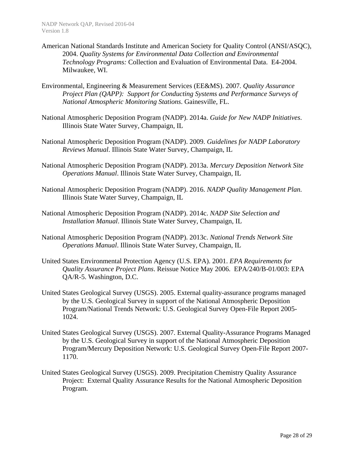- American National Standards Institute and American Society for Quality Control (ANSI/ASQC), 2004. *Quality Systems for Environmental Data Collection and Environmental Technology Programs:* Collection and Evaluation of Environmental Data. E4-2004. Milwaukee, WI.
- Environmental, Engineering & Measurement Services (EE&MS). 2007. *Quality Assurance Project Plan (QAPP): Support for Conducting Systems and Performance Surveys of National Atmospheric Monitoring Stations*. Gainesville, FL.
- National Atmospheric Deposition Program (NADP). 2014a. *Guide for New NADP Initiatives*. Illinois State Water Survey, Champaign, IL
- National Atmospheric Deposition Program (NADP). 2009. *Guidelines for NADP Laboratory Reviews Manual*. Illinois State Water Survey, Champaign, IL
- National Atmospheric Deposition Program (NADP). 2013a. *Mercury Deposition Network Site Operations Manual*. Illinois State Water Survey, Champaign, IL
- National Atmospheric Deposition Program (NADP). 2016. *NADP Quality Management Plan.*  Illinois State Water Survey, Champaign, IL
- National Atmospheric Deposition Program (NADP). 2014c. *NADP Site Selection and Installation Manual*. Illinois State Water Survey, Champaign, IL
- National Atmospheric Deposition Program (NADP). 2013c. *National Trends Network Site Operations Manual*. Illinois State Water Survey, Champaign, IL
- United States Environmental Protection Agency (U.S. EPA). 2001. *EPA Requirements for Quality Assurance Project Plans*. Reissue Notice May 2006. EPA/240/B-01/003: EPA QA/R-5. Washington, D.C.
- United States Geological Survey (USGS). 2005. External quality-assurance programs managed by the U.S. Geological Survey in support of the National Atmospheric Deposition Program/National Trends Network: U.S. Geological Survey Open-File Report 2005- 1024.
- United States Geological Survey (USGS). 2007. External Quality-Assurance Programs Managed by the U.S. Geological Survey in support of the National Atmospheric Deposition Program/Mercury Deposition Network: U.S. Geological Survey Open-File Report 2007- 1170.
- United States Geological Survey (USGS). 2009. Precipitation Chemistry Quality Assurance Project: External Quality Assurance Results for the National Atmospheric Deposition Program.